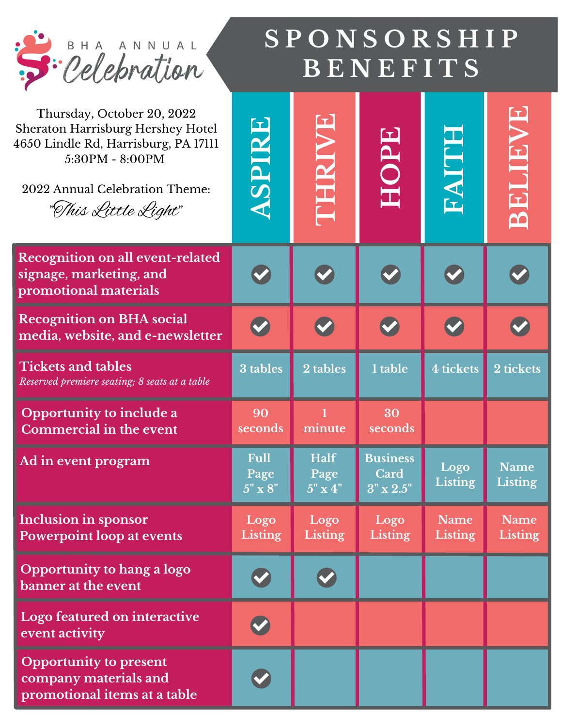| Si Celebration                                                                                                                                                                      | SPONSORSHIP<br>BENEFITS               |                                       |                                                      |                               |                               |
|-------------------------------------------------------------------------------------------------------------------------------------------------------------------------------------|---------------------------------------|---------------------------------------|------------------------------------------------------|-------------------------------|-------------------------------|
| Thursday, October 20, 2022<br>Sheraton Harrisburg Hershey Hotel<br>4650 Lindle Rd, Harrisburg, PA 17111<br>5:30PM - 8:00PM<br>2022 Annual Celebration Theme:<br>"This Little Light" | BSIERS                                | <b>BRAIKIE</b>                        | HOPE                                                 | <b>EKLIKE</b>                 | <b>BRITHEVE</b>               |
| <b>Recognition on all event-related</b><br>signage, marketing, and<br>promotional materials                                                                                         |                                       |                                       |                                                      |                               |                               |
| <b>Recognition on BHA social</b><br>media, website, and e-newsletter                                                                                                                |                                       |                                       |                                                      |                               |                               |
| <b>Tickets and tables</b><br>Reserved premiere seating; 8 seats at a table                                                                                                          | 3 tables                              | 2 tables                              | 1 table                                              | 4 tickets                     | 2 tickets                     |
| Opportunity to include a<br>Commercial in the event                                                                                                                                 | 90<br>seconds                         | minute                                | 30<br>seconds                                        |                               |                               |
| <b>Ad in event program</b>                                                                                                                                                          | <b>Full</b><br>Page<br>$5" \times 8"$ | <b>Half</b><br>Page<br>$5" \times 4"$ | <b>Business</b><br><b>Card</b><br>$3'' \times 2.5''$ | Logo<br><b>Listing</b>        | <b>Name</b><br><b>Listing</b> |
| Inclusion in sponsor<br><b>Powerpoint loop at events</b>                                                                                                                            | Logo<br><b>Listing</b>                | Logo<br><b>Listing</b>                | Logo<br><b>Listing</b>                               | <b>Name</b><br><b>Listing</b> | <b>Name</b><br><b>Listing</b> |
| Opportunity to hang a logo<br>banner at the event                                                                                                                                   |                                       |                                       |                                                      |                               |                               |
| Logo featured on interactive<br>event activity                                                                                                                                      |                                       |                                       |                                                      |                               |                               |
| <b>Opportunity to present</b><br>company materials and<br>promotional items at a table                                                                                              |                                       |                                       |                                                      |                               |                               |